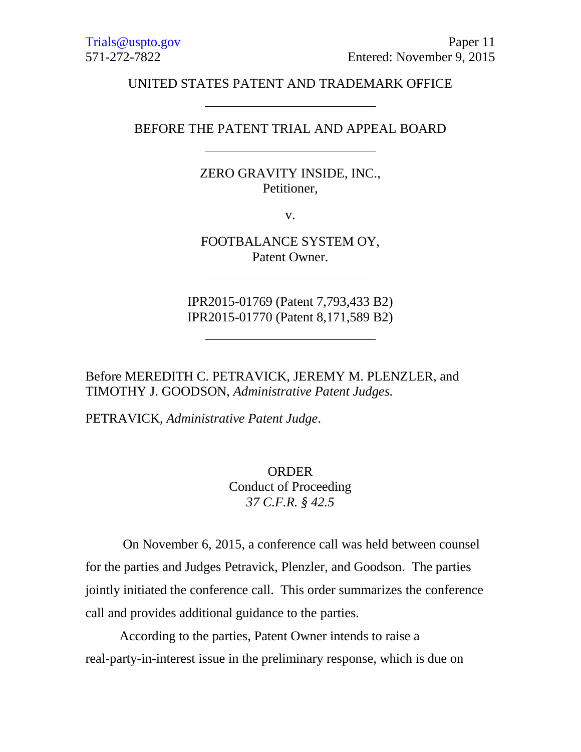### UNITED STATES PATENT AND TRADEMARK OFFICE

### BEFORE THE PATENT TRIAL AND APPEAL BOARD

## ZERO GRAVITY INSIDE, INC., Petitioner,

v.

FOOTBALANCE SYSTEM OY, Patent Owner.

IPR2015-01769 (Patent 7,793,433 B2) IPR2015-01770 (Patent 8,171,589 B2)

Before MEREDITH C. PETRAVICK, JEREMY M. PLENZLER, and TIMOTHY J. GOODSON, *Administrative Patent Judges.*

PETRAVICK, *Administrative Patent Judge*.

**ORDER** Conduct of Proceeding *37 C.F.R. § 42.5*

On November 6, 2015, a conference call was held between counsel for the parties and Judges Petravick, Plenzler, and Goodson. The parties jointly initiated the conference call. This order summarizes the conference call and provides additional guidance to the parties.

According to the parties, Patent Owner intends to raise a real-party-in-interest issue in the preliminary response, which is due on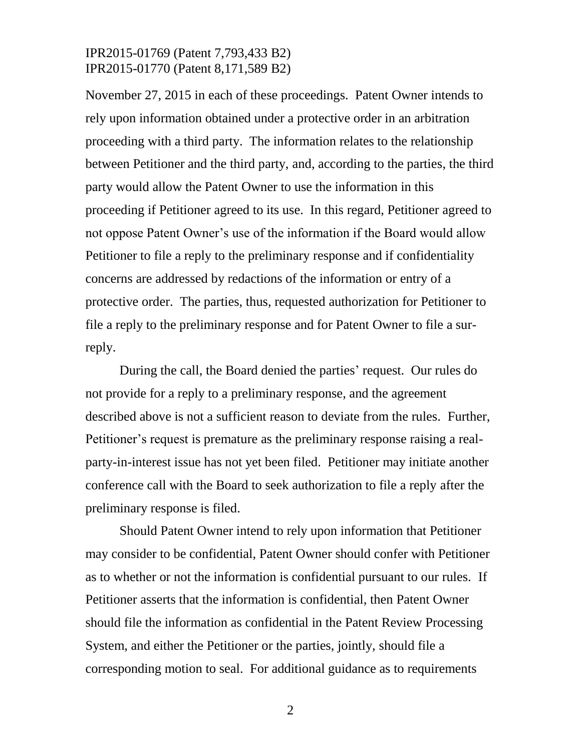### IPR2015-01769 (Patent 7,793,433 B2) IPR2015-01770 (Patent 8,171,589 B2)

November 27, 2015 in each of these proceedings. Patent Owner intends to rely upon information obtained under a protective order in an arbitration proceeding with a third party. The information relates to the relationship between Petitioner and the third party, and, according to the parties, the third party would allow the Patent Owner to use the information in this proceeding if Petitioner agreed to its use. In this regard, Petitioner agreed to not oppose Patent Owner's use of the information if the Board would allow Petitioner to file a reply to the preliminary response and if confidentiality concerns are addressed by redactions of the information or entry of a protective order. The parties, thus, requested authorization for Petitioner to file a reply to the preliminary response and for Patent Owner to file a surreply.

During the call, the Board denied the parties' request. Our rules do not provide for a reply to a preliminary response, and the agreement described above is not a sufficient reason to deviate from the rules. Further, Petitioner's request is premature as the preliminary response raising a realparty-in-interest issue has not yet been filed. Petitioner may initiate another conference call with the Board to seek authorization to file a reply after the preliminary response is filed.

Should Patent Owner intend to rely upon information that Petitioner may consider to be confidential, Patent Owner should confer with Petitioner as to whether or not the information is confidential pursuant to our rules. If Petitioner asserts that the information is confidential, then Patent Owner should file the information as confidential in the Patent Review Processing System, and either the Petitioner or the parties, jointly, should file a corresponding motion to seal. For additional guidance as to requirements

2